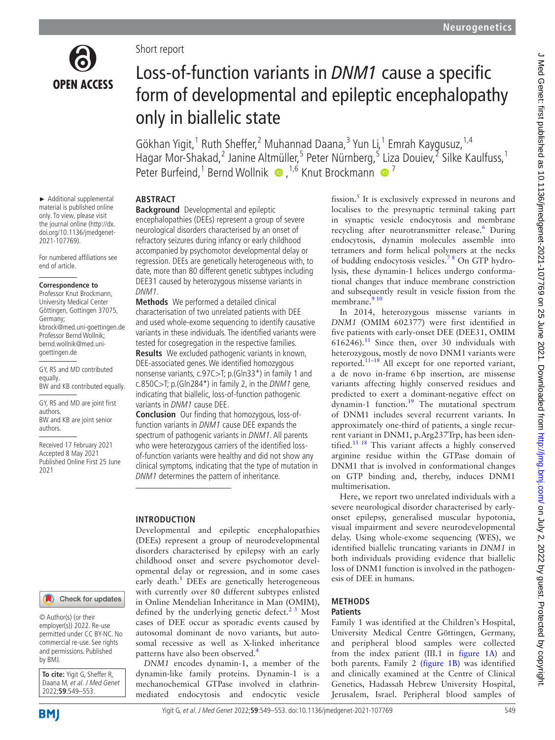

Short report

# Loss-of-function variants in *DNM1* cause a specific form of developmental and epileptic encephalopathy only in biallelic state

Gökhan Yigit,<sup>1</sup> Ruth Sheffer,<sup>2</sup> Muhannad Daana,<sup>3</sup> Yun Li,<sup>1</sup> Emrah Kaygusuz,<sup>1,4</sup> Hagar Mor-Shakad,<sup>2</sup> Janine Altmüller,<sup>5</sup> Peter Nürnberg,<sup>5</sup> Liza Douiev,<sup>2</sup> Silke Kaulfuss,<sup>1</sup> PeterBurfeind,<sup>1</sup> Bernd Wollnik  $\bullet$ ,<sup>1,6</sup> Knut Brockmann  $\bullet$ <sup>7</sup>

► Additional supplemental material is published online only. To view, please visit the journal online [\(http://dx.](http://dx.doi.org/10.1136/jmedgenet-2021-107769) [doi.org/10.1136/jmedgenet-](http://dx.doi.org/10.1136/jmedgenet-2021-107769)[2021-107769\)](http://dx.doi.org/10.1136/jmedgenet-2021-107769).

For numbered affiliations see end of article.

#### **Correspondence to**

Professor Knut Brockmann, University Medical Center Göttingen, Gottingen 37075, Germany; kbrock@med.uni-goettingen.de Professor Bernd Wollnik; bernd.wollnik@med.unigoettingen.de

GY, RS and MD contributed equally. BW and KB contributed equally.

GY, RS and MD are joint first authors. BW and KB are joint senior authors.

Received 17 February 2021 Accepted 8 May 2021 Published Online First 25 June 2021

# **ABSTRACT**

**Background** Developmental and epileptic encephalopathies (DEEs) represent a group of severe neurological disorders characterised by an onset of refractory seizures during infancy or early childhood accompanied by psychomotor developmental delay or regression. DEEs are genetically heterogeneous with, to date, more than 80 different genetic subtypes including DEE31 caused by heterozygous missense variants in DNM1.

**Methods** We performed a detailed clinical characterisation of two unrelated patients with DEE and used whole-exome sequencing to identify causative variants in these individuals. The identified variants were tested for cosegregation in the respective families.

**Results** We excluded pathogenic variants in known, DEE-associated genes. We identified homozygous nonsense variants, c.97C>T; p.(Gln33\*) in family 1 and c.850C $>$ T; p.(Gln284\*) in family 2, in the *DNM1* gene, indicating that biallelic, loss-of-function pathogenic variants in DNM1 cause DEE.

**Conclusion** Our finding that homozygous, loss-offunction variants in DNM1 cause DEE expands the spectrum of pathogenic variants in DNM1. All parents who were heterozygous carriers of the identified lossof-function variants were healthy and did not show any clinical symptoms, indicating that the type of mutation in DNM1 determines the pattern of inheritance.

## **INTRODUCTION**

Developmental and epileptic encephalopathies (DEEs) represent a group of neurodevelopmental disorders characterised by epilepsy with an early childhood onset and severe psychomotor developmental delay or regression, and in some cases early death.<sup>[1](#page-3-0)</sup> DEEs are genetically heterogeneous with currently over 80 different subtypes enlisted in Online Mendelian Inheritance in Man (OMIM), defined by the underlying genetic defect. $2^3$  Most cases of DEE occur as sporadic events caused by autosomal dominant de novo variants, but autosomal recessive as well as X-linked inheritance patterns have also been observed.<sup>[4](#page-3-2)</sup>

*DNM1* encodes dynamin-1, a member of the dynamin-like family proteins. Dynamin-1 is a mechanochemical GTPase involved in clathrinmediated endocytosis and endocytic vesicle fission.<sup>[5](#page-3-3)</sup> It is exclusively expressed in neurons and localises to the presynaptic terminal taking part in synaptic vesicle endocytosis and membrane recycling after neurotransmitter release.<sup>6</sup> During endocytosis, dynamin molecules assemble into tetramers and form helical polymers at the necks of budding endocytosis vesicles.[7 8](#page-3-5) On GTP hydrolysis, these dynamin-1 helices undergo conformational changes that induce membrane constriction and subsequently result in vesicle fission from the membrane.<sup>[9 10](#page-3-6)</sup>

In 2014, heterozygous missense variants in *DNM1* (OMIM 602377) were first identified in five patients with early-onset DEE (DEE31, OMIM  $616246$ .<sup>11</sup> Since then, over 30 individuals with heterozygous, mostly de novo DNM1 variants were reported.<sup>11–18</sup> All except for one reported variant, a de novo in-frame 6bp insertion, are missense variants affecting highly conserved residues and predicted to exert a dominant-negative effect on dynamin-1 function.[19](#page-4-0) The mutational spectrum of DNM1 includes several recurrent variants. In approximately one-third of patients, a single recurrent variant in DNM1, p.Arg237Trp, has been identified.<sup>15 18</sup> This variant affects a highly conserved arginine residue within the GTPase domain of DNM1 that is involved in conformational changes on GTP binding and, thereby, induces DNM1 multimerisation.

Here, we report two unrelated individuals with a severe neurological disorder characterised by earlyonset epilepsy, generalised muscular hypotonia, visual impairment and severe neurodevelopmental delay. Using whole-exome sequencing (WES), we identified biallelic truncating variants in *DNM1* in both individuals providing evidence that biallelic loss of DNM1 function is involved in the pathogenesis of DEE in humans.

#### **METHODS Patients**

Family 1 was identified at the Children's Hospital, University Medical Centre Göttingen, Germany, and peripheral blood samples were collected from the index patient (III.1 in [figure](#page-1-0) 1A) and both parents. Family 2 ([figure](#page-1-0) 1B) was identified and clinically examined at the Centre of Clinical Genetics, Hadassah Hebrew University Hospital, Jerusalem, Israel. Peripheral blood samples of

by BMJ.

**To cite:** Yigit G, Sheffer R, Daana M, et al. J Med Genet 2022;**59**:549–553.

© Author(s) (or their employer(s)) 2022. Re-use permitted under CC BY-NC. No commercial re-use. See rights and permissions. Published

Check for updates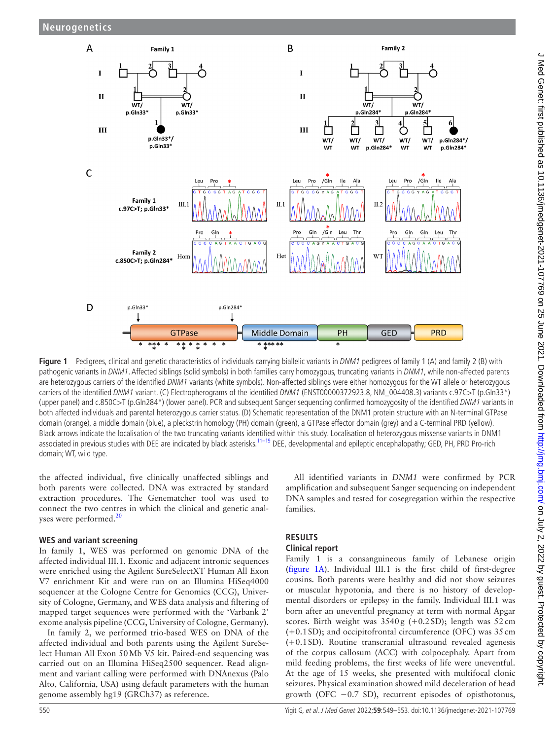

<span id="page-1-0"></span>Figure 1 Pedigrees, clinical and genetic characteristics of individuals carrying biallelic variants in DNM1 pedigrees of family 1 (A) and family 2 (B) with pathogenic variants in DNM1. Affected siblings (solid symbols) in both families carry homozygous, truncating variants in DNM1, while non-affected parents are heterozygous carriers of the identified DNM1 variants (white symbols). Non-affected siblings were either homozygous for the WT allele or heterozygous carriers of the identified DNM1 variant. (C) Electropherograms of the identified DNM1 (ENST00000372923.8, NM\_004408.3) variants c.97C>T (p.Gln33\*) (upper panel) and c.850C>T (p.Gln284\*) (lower panel). PCR and subsequent Sanger sequencing confirmed homozygosity of the identified DNM1 variants in both affected individuals and parental heterozygous carrier status. (D) Schematic representation of the DNM1 protein structure with an N-terminal GTPase domain (orange), a middle domain (blue), a pleckstrin homology (PH) domain (green), a GTPase effector domain (grey) and a C-terminal PRD (yellow). Black arrows indicate the localisation of the two truncating variants identified within this study. Localisation of heterozygous missense variants in DNM1 associated in previous studies with DEE are indicated by black asterisks.<sup>[11–19](#page-3-7)</sup> DEE, developmental and epileptic encephalopathy; GED, PH, PRD Pro-rich domain; WT, wild type.

the affected individual, five clinically unaffected siblings and both parents were collected. DNA was extracted by standard extraction procedures. The Genematcher tool was used to connect the two centres in which the clinical and genetic anal-yses were performed.<sup>[20](#page-4-2)</sup>

## **WES and variant screening**

In family 1, WES was performed on genomic DNA of the affected individual III.1. Exonic and adjacent intronic sequences were enriched using the Agilent SureSelectXT Human All Exon V7 enrichment Kit and were run on an Illumina HiSeq4000 sequencer at the Cologne Centre for Genomics (CCG), University of Cologne, Germany, and WES data analysis and filtering of mapped target sequences were performed with the 'Varbank 2' exome analysis pipeline (CCG, University of Cologne, Germany).

In family 2, we performed trio-based WES on DNA of the affected individual and both parents using the Agilent SureSelect Human All Exon 50Mb V5 kit. Paired-end sequencing was carried out on an Illumina HiSeq2500 sequencer. Read alignment and variant calling were performed with DNAnexus (Palo Alto, California, USA) using default parameters with the human genome assembly hg19 (GRCh37) as reference.

All identified variants in *DNM1* were confirmed by PCR amplification and subsequent Sanger sequencing on independent DNA samples and tested for cosegregation within the respective families.

# **RESULTS**

## **Clinical report**

Family 1 is a consanguineous family of Lebanese origin ([figure](#page-1-0) 1A). Individual III.1 is the first child of first-degree cousins. Both parents were healthy and did not show seizures or muscular hypotonia, and there is no history of developmental disorders or epilepsy in the family. Individual III.1 was born after an uneventful pregnancy at term with normal Apgar scores. Birth weight was 3540g (+0.2SD); length was 52cm (+0.1SD); and occipitofrontal circumference (OFC) was 35cm (+0.1SD). Routine transcranial ultrasound revealed agenesis of the corpus callosum (ACC) with colpocephaly. Apart from mild feeding problems, the first weeks of life were uneventful. At the age of 15 weeks, she presented with multifocal clonic seizures. Physical examination showed mild deceleration of head growth (OFC  $-0.7$  SD), recurrent episodes of opisthotonus,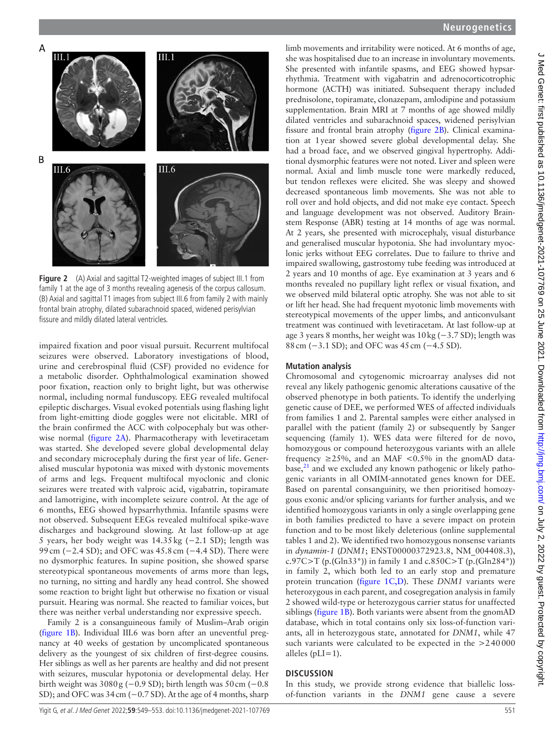

<span id="page-2-0"></span>**Figure 2** (A) Axial and sagittal T2-weighted images of subject III.1 from family 1 at the age of 3 months revealing agenesis of the corpus callosum. (B) Axial and sagittal T1 images from subject III.6 from family 2 with mainly frontal brain atrophy, dilated subarachnoid spaced, widened perisylvian fissure and mildly dilated lateral ventricles.

impaired fixation and poor visual pursuit. Recurrent multifocal seizures were observed. Laboratory investigations of blood, urine and cerebrospinal fluid (CSF) provided no evidence for a metabolic disorder. Ophthalmological examination showed poor fixation, reaction only to bright light, but was otherwise normal, including normal funduscopy. EEG revealed multifocal epileptic discharges. Visual evoked potentials using flashing light from light-emitting diode goggles were not elicitable. MRI of the brain confirmed the ACC with colpocephaly but was otherwise normal [\(figure](#page-2-0) 2A). Pharmacotherapy with levetiracetam was started. She developed severe global developmental delay and secondary microcephaly during the first year of life. Generalised muscular hypotonia was mixed with dystonic movements of arms and legs. Frequent multifocal myoclonic and clonic seizures were treated with valproic acid, vigabatrin, topiramate and lamotrigine, with incomplete seizure control. At the age of 6 months, EEG showed hypsarrhythmia. Infantile spasms were not observed. Subsequent EEGs revealed multifocal spike-wave discharges and background slowing. At last follow-up at age 5 years, her body weight was 14.35kg (−2.1 SD); length was 99 cm (−2.4 SD); and OFC was 45.8 cm (−4.4 SD). There were no dysmorphic features. In supine position, she showed sparse stereotypical spontaneous movements of arms more than legs, no turning, no sitting and hardly any head control. She showed some reaction to bright light but otherwise no fixation or visual pursuit. Hearing was normal. She reacted to familiar voices, but there was neither verbal understanding nor expressive speech.

Family 2 is a consanguineous family of Muslim–Arab origin ([figure](#page-1-0) 1B). Individual III.6 was born after an uneventful pregnancy at 40 weeks of gestation by uncomplicated spontaneous delivery as the youngest of six children of first-degree cousins. Her siblings as well as her parents are healthy and did not present with seizures, muscular hypotonia or developmental delay. Her birth weight was 3080g (−0.9 SD); birth length was 50cm (−0.8 SD); and OFC was 34 cm (−0.7 SD). At the age of 4 months, sharp

# **Neurogenetics**

limb movements and irritability were noticed. At 6 months of age, she was hospitalised due to an increase in involuntary movements. She presented with infantile spasms, and EEG showed hypsarrhythmia. Treatment with vigabatrin and adrenocorticotrophic hormone (ACTH) was initiated. Subsequent therapy included prednisolone, topiramate, clonazepam, amlodipine and potassium supplementation. Brain MRI at 7 months of age showed mildly dilated ventricles and subarachnoid spaces, widened perisylvian fissure and frontal brain atrophy ([figure](#page-2-0) 2B). Clinical examination at 1year showed severe global developmental delay. She had a broad face, and we observed gingival hypertrophy. Additional dysmorphic features were not noted. Liver and spleen were normal. Axial and limb muscle tone were markedly reduced, but tendon reflexes were elicited. She was sleepy and showed decreased spontaneous limb movements. She was not able to roll over and hold objects, and did not make eye contact. Speech and language development was not observed. Auditory Brainstem Response (ABR) testing at 14 months of age was normal. At 2 years, she presented with microcephaly, visual disturbance and generalised muscular hypotonia. She had involuntary myoclonic jerks without EEG correlates. Due to failure to thrive and impaired swallowing, gastrostomy tube feeding was introduced at 2 years and 10 months of age. Eye examination at 3 years and 6 months revealed no pupillary light reflex or visual fixation, and we observed mild bilateral optic atrophy. She was not able to sit or lift her head. She had frequent myotonic limb movements with stereotypical movements of the upper limbs, and anticonvulsant treatment was continued with levetiracetam. At last follow-up at age 3 years 8 months, her weight was 10kg (−3.7 SD); length was 88 cm (−3.1 SD); and OFC was 45 cm (−4.5 SD).

### **Mutation analysis**

Chromosomal and cytogenomic microarray analyses did not reveal any likely pathogenic genomic alterations causative of the observed phenotype in both patients. To identify the underlying genetic cause of DEE, we performed WES of affected individuals from families 1 and 2. Parental samples were either analysed in parallel with the patient (family 2) or subsequently by Sanger sequencing (family 1). WES data were filtered for de novo, homozygous or compound heterozygous variants with an allele frequency  $\geq$ 25%, and an MAF <0.5% in the gnomAD database, $^{21}$  $^{21}$  $^{21}$  and we excluded any known pathogenic or likely pathogenic variants in all OMIM-annotated genes known for DEE. Based on parental consanguinity, we then prioritised homozygous exonic and/or splicing variants for further analysis, and we identified homozygous variants in only a single overlapping gene in both families predicted to have a severe impact on protein function and to be most likely deleterious [\(online supplemental](https://dx.doi.org/10.1136/jmedgenet-2021-107769) [tables 1 and 2\)](https://dx.doi.org/10.1136/jmedgenet-2021-107769). We identified two homozygous nonsense variants in *dynamin-1* (*DNM1*; ENST00000372923.8, NM\_004408.3), c.97C>T (p.(Gln33\*)) in family 1 and c.850C>T (p.(Gln284\*)) in family 2, which both led to an early stop and premature protein truncation ([figure](#page-1-0) 1C,D). These *DNM1* variants were heterozygous in each parent, and cosegregation analysis in family 2 showed wild-type or heterozygous carrier status for unaffected siblings [\(figure](#page-1-0) 1B). Both variants were absent from the gnomAD database, which in total contains only six loss-of-function variants, all in heterozygous state, annotated for *DNM1*, while 47 such variants were calculated to be expected in the  $>240000$ alleles  $(pLI=1)$ .

### **DISCUSSION**

In this study, we provide strong evidence that biallelic lossof-function variants in the *DNM1* gene cause a severe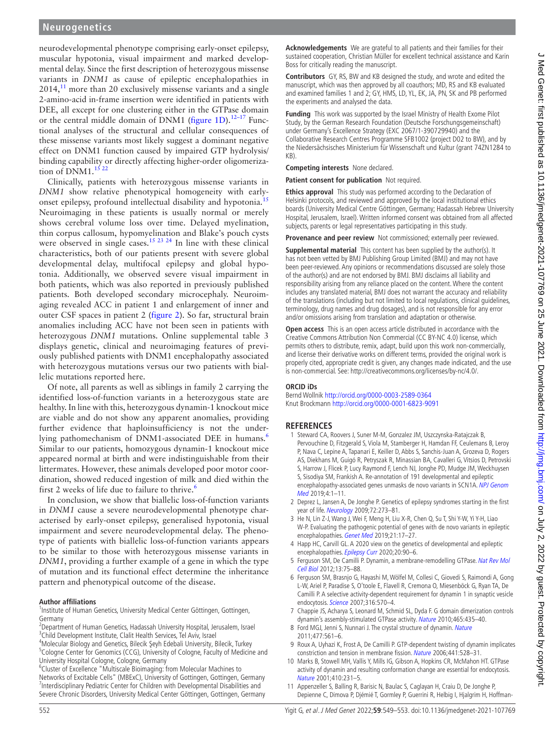## **Neurogenetics**

neurodevelopmental phenotype comprising early-onset epilepsy, muscular hypotonia, visual impairment and marked developmental delay. Since the first description of heterozygous missense variants in *DNM1* as cause of epileptic encephalopathies in  $2014<sup>11</sup>$  $2014<sup>11</sup>$  $2014<sup>11</sup>$  more than 20 exclusively missense variants and a single 2-amino-acid in-frame insertion were identified in patients with DEE, all except for one clustering either in the GTPase domain or the central middle domain of DNM1 ([figure](#page-1-0) 1D).<sup>12-17</sup> Functional analyses of the structural and cellular consequences of these missense variants most likely suggest a dominant negative effect on DNM1 function caused by impaired GTP hydrolysis/ binding capability or directly affecting higher-order oligomerization of  $DNM1$ .<sup>15 22</sup>

Clinically, patients with heterozygous missense variants in *DNM1* show relative phenotypical homogeneity with earlyonset epilepsy, profound intellectual disability and hypotonia.<sup>1</sup> Neuroimaging in these patients is usually normal or merely shows cerebral volume loss over time. Delayed myelination, thin corpus callosum, hypomyelination and Blake's pouch cysts were observed in single cases.<sup>15 23 24</sup> In line with these clinical characteristics, both of our patients present with severe global developmental delay, multifocal epilepsy and global hypotonia. Additionally, we observed severe visual impairment in both patients, which was also reported in previously published patients. Both developed secondary microcephaly. Neuroimaging revealed ACC in patient 1 and enlargement of inner and outer CSF spaces in patient 2 [\(figure](#page-2-0) 2). So far, structural brain anomalies including ACC have not been seen in patients with heterozygous *DNM1* mutations. [Online supplemental table 3](https://dx.doi.org/10.1136/jmedgenet-2021-107769)  displays genetic, clinical and neuroimaging features of previously published patients with DNM1 encephalopathy associated with heterozygous mutations versus our two patients with biallelic mutations reported here.

Of note, all parents as well as siblings in family 2 carrying the identified loss-of-function variants in a heterozygous state are healthy. In line with this, heterozygous dynamin-1 knockout mice are viable and do not show any apparent anomalies, providing further evidence that haploinsufficiency is not the underlying pathomechanism of DNM1-associated DEE in humans.<sup>6</sup> Similar to our patients, homozygous dynamin-1 knockout mice appeared normal at birth and were indistinguishable from their littermates. However, these animals developed poor motor coordination, showed reduced ingestion of milk and died within the first 2 weeks of life due to failure to thrive.<sup>6</sup>

In conclusion, we show that biallelic loss-of-function variants in *DNM1* cause a severe neurodevelopmental phenotype characterised by early-onset epilepsy, generalised hypotonia, visual impairment and severe neurodevelopmental delay. The phenotype of patients with biallelic loss-of-function variants appears to be similar to those with heterozygous missense variants in *DNM1*, providing a further example of a gene in which the type of mutation and its functional effect determine the inheritance pattern and phenotypical outcome of the disease.

#### **Author affiliations**

<sup>1</sup>Institute of Human Genetics, University Medical Center Göttingen, Gottingen, Germany

- <sup>2</sup>Department of Human Genetics, Hadassah University Hospital, Jerusalem, Israel <sup>3</sup>Child Development Institute, Clalit Health Services, Tel Aviv, Israel
- 4 Molecular Biology and Genetics, Bilecik Şeyh Edebali University, Bilecik, Turkey

<sup>5</sup>Cologne Center for Genomics (CCG), University of Cologne, Faculty of Medicine and University Hospital Cologne, Cologne, Germany

<sup>6</sup>Cluster of Excellence "Multiscale Bioimaging: from Molecular Machines to Networks of Excitable Cells" (MBExC), University of Gottingen, Gottingen, Germany <sup>7</sup>Interdisciplinary Pediatric Center for Children with Developmental Disabilities and Severe Chronic Disorders, University Medical Center Göttingen, Gottingen, Germany **Acknowledgements** We are grateful to all patients and their families for their sustained cooperation, Christian Müller for excellent technical assistance and Karin Boss for critically reading the manuscript.

**Contributors** GY, RS, BW and KB designed the study, and wrote and edited the manuscript, which was then approved by all coauthors; MD, RS and KB evaluated and examined families 1 and 2; GY, HMS, LD, YL, EK, JA, PN, SK and PB performed the experiments and analysed the data.

**Funding** This work was supported by the Israel Ministry of Health Exome Pilot Study, by the German Research Foundation (Deutsche Forschungsgemeinschaft) under Germany's Excellence Strategy (EXC 2067/1-390729940) and the Collaborative Research Centres Programme SFB1002 (project D02 to BW), and by the Niedersächsisches Ministerium für Wissenschaft und Kultur (grant 74ZN1284 to  $(KR)$ 

**Competing interests** None declared.

**Patient consent for publication** Not required.

**Ethics approval** This study was performed according to the Declaration of Helsinki protocols, and reviewed and approved by the local institutional ethics boards (University Medical Centre Göttingen, Germany; Hadassah Hebrew University Hospital, Jerusalem, Israel). Written informed consent was obtained from all affected subjects, parents or legal representatives participating in this study.

**Provenance and peer review** Not commissioned; externally peer reviewed.

**Supplemental material** This content has been supplied by the author(s). It has not been vetted by BMJ Publishing Group Limited (BMJ) and may not have been peer-reviewed. Any opinions or recommendations discussed are solely those of the author(s) and are not endorsed by BMJ. BMJ disclaims all liability and responsibility arising from any reliance placed on the content. Where the content includes any translated material, BMJ does not warrant the accuracy and reliability of the translations (including but not limited to local regulations, clinical guidelines, terminology, drug names and drug dosages), and is not responsible for any error and/or omissions arising from translation and adaptation or otherwise.

**Open access** This is an open access article distributed in accordance with the Creative Commons Attribution Non Commercial (CC BY-NC 4.0) license, which permits others to distribute, remix, adapt, build upon this work non-commercially, and license their derivative works on different terms, provided the original work is properly cited, appropriate credit is given, any changes made indicated, and the use is non-commercial. See: [http://creativecommons.org/licenses/by-nc/4.0/.](http://creativecommons.org/licenses/by-nc/4.0/)

#### **ORCID iDs**

Bernd Wollnik <http://orcid.org/0000-0003-2589-0364> Knut Brockmann <http://orcid.org/0000-0001-6823-9091>

### **REFERENCES**

- <span id="page-3-0"></span>1 Steward CA, Roovers J, Suner M-M, Gonzalez JM, Uszczynska-Ratajczak B, Pervouchine D, Fitzgerald S, Viola M, Stamberger H, Hamdan FF, Ceulemans B, Leroy P, Nava C, Lepine A, Tapanari E, Keiller D, Abbs S, Sanchis-Juan A, Grozeva D, Rogers AS, Diekhans M, Guigó R, Petryszak R, Minassian BA, Cavalleri G, Vitsios D, Petrovski S, Harrow J, Flicek P, Lucy Raymond F, Lench NJ, Jonghe PD, Mudge JM, Weckhuysen S, Sisodiya SM, Frankish A. Re-annotation of 191 developmental and epileptic encephalopathy-associated genes unmasks de novo variants in SCN1A. NPJ Genom [Med](http://dx.doi.org/10.1038/s41525-019-0106-7) 2019;4:1–11.
- <span id="page-3-1"></span>2 Deprez L, Jansen A, De Jonghe P. Genetics of epilepsy syndromes starting in the first year of life. *[Neurology](http://dx.doi.org/10.1212/01.wnl.0000339494.76377.d6)* 2009;72:273-81.
- 3 He N, Lin Z-J, Wang J, Wei F, Meng H, Liu X-R, Chen Q, Su T, Shi Y-W, Yi Y-H, Liao W-P. Evaluating the pathogenic potential of genes with de novo variants in epileptic encephalopathies. [Genet Med](http://dx.doi.org/10.1038/s41436-018-0011-y) 2019;21:17–27.
- <span id="page-3-2"></span>4 Happ HC, Carvill GL. A 2020 view on the genetics of developmental and epileptic encephalopathies. [Epilepsy Curr](http://dx.doi.org/10.1177/1535759720906118) 2020;20:90-6.
- <span id="page-3-3"></span>5 Ferguson SM, De Camilli P. Dynamin, a membrane-remodelling GTPase. Nat Rev Mol [Cell Biol](http://dx.doi.org/10.1038/nrm3266) 2012;13:75–88.
- <span id="page-3-4"></span>6 Ferguson SM, Brasnjo G, Hayashi M, Wölfel M, Collesi C, Giovedi S, Raimondi A, Gong L-W, Ariel P, Paradise S, O'toole E, Flavell R, Cremona O, Miesenböck G, Ryan TA, De Camilli P. A selective activity-dependent requirement for dynamin 1 in synaptic vesicle endocytosis. [Science](http://dx.doi.org/10.1126/science.1140621) 2007;316:570–4.
- <span id="page-3-5"></span>7 Chappie JS, Acharya S, Leonard M, Schmid SL, Dyda F. G domain dimerization controls dynamin's assembly-stimulated GTPase activity. [Nature](http://dx.doi.org/10.1038/nature09032) 2010;465:435–40.
- 8 Ford MGJ, Jenni S, Nunnari J. The crystal structure of dynamin. [Nature](http://dx.doi.org/10.1038/nature10441) 2011;477:561–6.
- <span id="page-3-6"></span>9 Roux A, Uyhazi K, Frost A, De Camilli P. GTP-dependent twisting of dynamin implicates constriction and tension in membrane fission. [Nature](http://dx.doi.org/10.1038/nature04718) 2006;441:528–31.
- 10 Marks B, Stowell MH, Vallis Y, Mills IG, Gibson A, Hopkins CR, McMahon HT. GTPase activity of dynamin and resulting conformation change are essential for endocytosis. [Nature](http://dx.doi.org/10.1038/35065645) 2001;410:231–5.
- <span id="page-3-7"></span>11 Appenzeller S, Balling R, Barisic N, Baulac S, Caglayan H, Craiu D, De Jonghe P, Depienne C, Dimova P, Djémié T, Gormley P, Guerrini R, Helbig I, Hjalgrim H, Hoffman-